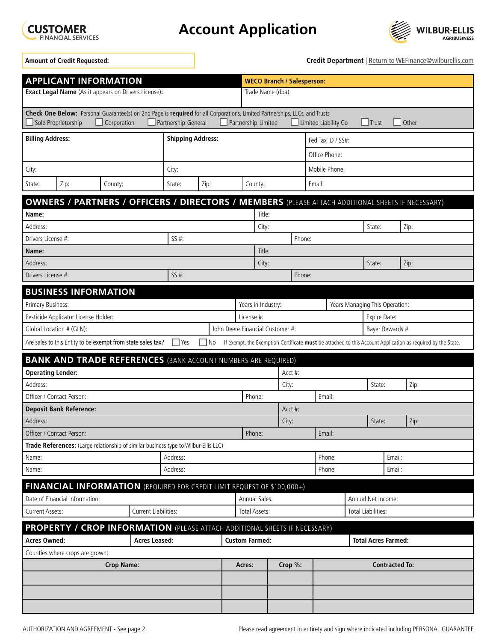

**Account Application**



**Amount of Credit Requested:** 

**Credit Department** | Return to WEFinance@wilburellis.com

| <b>APPLICANT INFORMATION</b>                                                                                                                                                                                                                                            |      |                                                                         |          |          |      |  |                                                     | <b>WECO Branch / Salesperson:</b> |               |                                |                |                  |                       |                                                                                                          |  |  |
|-------------------------------------------------------------------------------------------------------------------------------------------------------------------------------------------------------------------------------------------------------------------------|------|-------------------------------------------------------------------------|----------|----------|------|--|-----------------------------------------------------|-----------------------------------|---------------|--------------------------------|----------------|------------------|-----------------------|----------------------------------------------------------------------------------------------------------|--|--|
| <b>Exact Legal Name</b> (As it appears on Drivers License):                                                                                                                                                                                                             |      |                                                                         |          |          |      |  |                                                     | Trade Name (dba):                 |               |                                |                |                  |                       |                                                                                                          |  |  |
| Check One Below: Personal Guarantee(s) on 2nd Page is required for all Corporations, Limited Partnerships, LLCs, and Trusts<br>$\Box$ Trust<br>Other<br>Sole Proprietorship<br>Corporation<br>Partnership-General<br>Partnership-Limited<br>$\Box$ Limited Liability Co |      |                                                                         |          |          |      |  |                                                     |                                   |               |                                |                |                  |                       |                                                                                                          |  |  |
| <b>Billing Address:</b><br><b>Shipping Address:</b>                                                                                                                                                                                                                     |      |                                                                         |          |          |      |  | Fed Tax ID / SS#:                                   |                                   |               |                                |                |                  |                       |                                                                                                          |  |  |
|                                                                                                                                                                                                                                                                         |      |                                                                         |          |          |      |  | Office Phone:                                       |                                   |               |                                |                |                  |                       |                                                                                                          |  |  |
| City:                                                                                                                                                                                                                                                                   |      |                                                                         |          | City:    |      |  |                                                     |                                   | Mobile Phone: |                                |                |                  |                       |                                                                                                          |  |  |
| State:                                                                                                                                                                                                                                                                  | Zip: | County:                                                                 |          | State:   | Zip: |  | County:                                             |                                   |               | Email:                         |                |                  |                       |                                                                                                          |  |  |
|                                                                                                                                                                                                                                                                         |      |                                                                         |          |          |      |  |                                                     |                                   |               |                                |                |                  |                       | <b>OWNERS / PARTNERS / OFFICERS / DIRECTORS / MEMBERS</b> (PLEASE ATTACH ADDITIONAL SHEETS IF NECESSARY) |  |  |
| Name:                                                                                                                                                                                                                                                                   |      |                                                                         |          |          |      |  | Title:                                              |                                   |               |                                |                |                  |                       |                                                                                                          |  |  |
| Address:                                                                                                                                                                                                                                                                |      |                                                                         |          |          |      |  | City:                                               |                                   |               |                                | State:<br>Zip: |                  |                       |                                                                                                          |  |  |
| $SS#$ :<br>Drivers License #:                                                                                                                                                                                                                                           |      |                                                                         |          |          |      |  |                                                     |                                   | Phone:        |                                |                |                  |                       |                                                                                                          |  |  |
| Name:                                                                                                                                                                                                                                                                   |      |                                                                         |          |          |      |  | Title:                                              |                                   |               |                                |                |                  |                       |                                                                                                          |  |  |
| Address:                                                                                                                                                                                                                                                                |      |                                                                         |          |          |      |  |                                                     | City:                             |               |                                |                | State:           |                       | Zip:                                                                                                     |  |  |
| Drivers License #:                                                                                                                                                                                                                                                      |      |                                                                         |          | $SS#$ :  |      |  |                                                     |                                   | Phone:        |                                |                |                  |                       |                                                                                                          |  |  |
| <b>BUSINESS INFORMATION</b>                                                                                                                                                                                                                                             |      |                                                                         |          |          |      |  |                                                     |                                   |               |                                |                |                  |                       |                                                                                                          |  |  |
| Primary Business:                                                                                                                                                                                                                                                       |      |                                                                         |          |          |      |  | Years in Industry:                                  |                                   |               | Years Managing This Operation: |                |                  |                       |                                                                                                          |  |  |
| Pesticide Applicator License Holder:                                                                                                                                                                                                                                    |      |                                                                         |          |          |      |  | License #:                                          |                                   |               | Expire Date:                   |                |                  |                       |                                                                                                          |  |  |
| Global Location # (GLN):                                                                                                                                                                                                                                                |      |                                                                         |          |          |      |  | John Deere Financial Customer #:                    |                                   |               |                                |                | Bayer Rewards #: |                       |                                                                                                          |  |  |
| Are sales to this Entity to be exempt from state sales tax?<br>  Yes<br>No<br>If exempt, the Exemption Certificate must be attached to this Account Application as required by the State.                                                                               |      |                                                                         |          |          |      |  |                                                     |                                   |               |                                |                |                  |                       |                                                                                                          |  |  |
| <b>BANK AND TRADE REFERENCES (BANK ACCOUNT NUMBERS ARE REQUIRED)</b>                                                                                                                                                                                                    |      |                                                                         |          |          |      |  |                                                     |                                   |               |                                |                |                  |                       |                                                                                                          |  |  |
| <b>Operating Lender:</b>                                                                                                                                                                                                                                                |      |                                                                         |          |          |      |  |                                                     | $Acct$ #:                         |               |                                |                |                  |                       |                                                                                                          |  |  |
| Address:                                                                                                                                                                                                                                                                |      |                                                                         |          |          |      |  | City:                                               |                                   |               |                                | State:<br>Zip: |                  |                       |                                                                                                          |  |  |
| Officer / Contact Person:                                                                                                                                                                                                                                               |      |                                                                         |          |          |      |  | Phone:                                              | Email:                            |               |                                |                |                  |                       |                                                                                                          |  |  |
| <b>Deposit Bank Reference:</b><br>$Acct$ #:                                                                                                                                                                                                                             |      |                                                                         |          |          |      |  |                                                     |                                   |               |                                |                |                  |                       |                                                                                                          |  |  |
| Address:                                                                                                                                                                                                                                                                |      |                                                                         |          |          |      |  | City:                                               |                                   |               |                                |                | State:           | Zip:                  |                                                                                                          |  |  |
| Officer / Contact Person:                                                                                                                                                                                                                                               |      |                                                                         |          |          |      |  | Phone:                                              |                                   |               | Email:                         |                |                  |                       |                                                                                                          |  |  |
| Trade References: (Large relationship of similar business type to Wilbur-Ellis LLC)                                                                                                                                                                                     |      |                                                                         |          |          |      |  |                                                     |                                   |               |                                |                |                  |                       |                                                                                                          |  |  |
| Name:                                                                                                                                                                                                                                                                   |      |                                                                         | Address: |          |      |  |                                                     |                                   | Phone:        |                                |                | Email:           |                       |                                                                                                          |  |  |
| Name:                                                                                                                                                                                                                                                                   |      |                                                                         |          | Address: |      |  |                                                     |                                   |               | Phone:                         |                |                  | Email:                |                                                                                                          |  |  |
|                                                                                                                                                                                                                                                                         |      | FINANCIAL INFORMATION (REQUIRED FOR CREDIT LIMIT REQUEST OF \$100,000+) |          |          |      |  |                                                     |                                   |               |                                |                |                  |                       |                                                                                                          |  |  |
| Date of Financial Information:                                                                                                                                                                                                                                          |      |                                                                         |          |          |      |  | Annual Sales:                                       |                                   |               | Annual Net Income:             |                |                  |                       |                                                                                                          |  |  |
| <b>Current Liabilities:</b><br><b>Current Assets:</b>                                                                                                                                                                                                                   |      |                                                                         |          |          |      |  | <b>Total Assets:</b>                                |                                   |               | <b>Total Liabilities:</b>      |                |                  |                       |                                                                                                          |  |  |
| <b>PROPERTY / CROP INFORMATION</b> (PLEASE ATTACH ADDITIONAL SHEETS IF NECESSARY)                                                                                                                                                                                       |      |                                                                         |          |          |      |  |                                                     |                                   |               |                                |                |                  |                       |                                                                                                          |  |  |
| <b>Acres Owned:</b><br><b>Acres Leased:</b>                                                                                                                                                                                                                             |      |                                                                         |          |          |      |  | <b>Custom Farmed:</b><br><b>Total Acres Farmed:</b> |                                   |               |                                |                |                  |                       |                                                                                                          |  |  |
| Counties where crops are grown:                                                                                                                                                                                                                                         |      |                                                                         |          |          |      |  |                                                     |                                   |               |                                |                |                  |                       |                                                                                                          |  |  |
| <b>Crop Name:</b>                                                                                                                                                                                                                                                       |      |                                                                         |          |          |      |  | Acres:                                              |                                   | Crop %:       |                                |                |                  | <b>Contracted To:</b> |                                                                                                          |  |  |
|                                                                                                                                                                                                                                                                         |      |                                                                         |          |          |      |  |                                                     |                                   |               |                                |                |                  |                       |                                                                                                          |  |  |
|                                                                                                                                                                                                                                                                         |      |                                                                         |          |          |      |  |                                                     |                                   |               |                                |                |                  |                       |                                                                                                          |  |  |
|                                                                                                                                                                                                                                                                         |      |                                                                         |          |          |      |  |                                                     |                                   |               |                                |                |                  |                       |                                                                                                          |  |  |